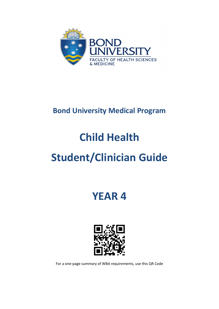

# **Bond University Medical Program**

# **Child Health**

# **Student/Clinician Guide**

**YEAR 4**



For a one-page summary of WBA requirements, use this QR Code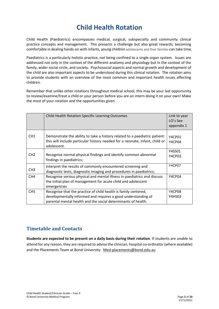# **Child Health Rotation**

Child Health (Paediatrics) encompasses medical, surgical, subspecialty and community clinical practice concepts and management. This presents a challenge but also great rewards; becoming comfortable in dealing hands-on with infants, young children adolescents and their families can take time.

Paediatrics is a particularly holistic practice, not being confined to a single organ system. Issues are addressed not only in the context of the different anatomy and physiology but in the context of the family, wider social circle, and society. Psychosocial aspects and normal growth and development of the child are also important aspects to be understood during this clinical rotation. The rotation aims to provide students with an overview of the most common and important health issues affecting children.

Remember that unlike other rotations throughout medical school, this may be your last opportunity to review/examine/treat a child or your person before you are an intern doing it on your own! Make the most of your rotation and the opportunities given.

|                 | Child Health Rotation Specific Learning Outcomes                                                                                                                                                  | Link to year<br>LO's See<br>appendix 1 |
|-----------------|---------------------------------------------------------------------------------------------------------------------------------------------------------------------------------------------------|----------------------------------------|
| CH <sub>1</sub> | Demonstrate the ability to take a history related to a paediatric patient:<br>this will include particular history needed for a neonate, infant, child or<br>adolescent.                          | Y4CP01<br>Y4CP04                       |
| CH <sub>2</sub> | Recognise normal physical findings and identify common abnormal<br>findings in paediatrics;                                                                                                       | Y4SS01<br>Y4CP03                       |
| CH <sub>3</sub> | Interpret the results of commonly encountered screening and<br>diagnostic tests, diagnostic imaging and procedures in paediatrics;                                                                | <b>Y4CP07</b>                          |
| CH <sub>4</sub> | Recognise serious physical and mental illness in paediatrics and discuss<br>the initial plan of management for acute child and adolescent<br>emergencies                                          | Y4CP04                                 |
| CH <sub>5</sub> | Recognise that the practice of child health is family centered,<br>developmentally informed and requires a good understanding of<br>parental mental health and the social determinants of health. | Y4CP08<br>Y4HS03                       |

### **Timetable and Contacts**

**Students are expected to be present on a daily basis during their rotation**. If students are unable to attend for any reason, they are required to advise the clinician, hospital co-ordinator (where available) and the Placements Team at Bond University: [Med-placements@bond.edu.au](mailto:Med-placements@bond.edu.au)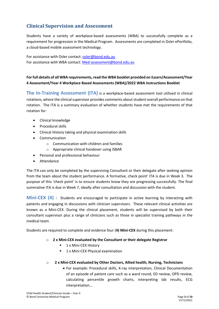## **Clinical Supervision and Assessment**

Students have a variety of workplace-based assessments (WBA) to successfully complete as a requirement for progression in the Medical Program. Assessments are completed in Osler ePortfolio, a cloud-based mobile assessment technology.

For assistance with Osler contact: [osler@bond.edu.au](mailto:osler@bond.edu.au) For assistance with WBA contact: [Med-assessment@bond.edu.au](mailto:Med-assessment@bond.edu.au)

#### **For full details of all WBA requirements, read the WBA booklet provided on iLearn/Assessment/Year 4 Assessment/Year 4 Workplace Based Assessments (WBA)/2022 WBA Instructions Booklet**

**The In-Training Assessment (ITA)** is a workplace-based assessment tool utilised in clinical rotations, where the clinical supervisor provides comments about student overall performance on that rotation. The ITA is a summary evaluation of whether students have met the requirements of that rotation for:

- Clinical knowledge
- Procedural skills
- Clinical History taking and physical examination skills
- Communication
	- $\circ$  Communication with children and families
	- o Appropriate clinical handover using ISBAR
- Personal and professional behaviour
- Attendance

The ITA can only be completed by the supervising Consultant or their delegate after seeking opinion from the team about the student performance. A formative, check point' ITA is due in Week 3. The purpose of this 'check point' is to ensure students know they are progressing successfully. The final summative ITA is due in Week 7, ideally after consultation and discussion with the student.

**Mini-CEX (4)** : Students are encouraged to participate in active learning by interacting with patients and engaging in discussions with clinician supervisors. These relevant clinical activities are known as a Mini-CEX. During the clinical placement, students will be supervised by both their consultant supervisor plus a range of clinicians such as those in specialist training pathways in the medical team.

Students are required to complete and evidence four (**4) Mini-CEX** during this placement:

#### o **2 x Mini-CEX evaluated by the Consultant or their delegate Registrar**

- **1 x Mini-CEX History**
- 1 x Mini-CEX Physical examination

#### o **2 x Mini-CEX evaluated by Other Doctors, Allied health, Nursing, Technicians**

• For example: Procedural skills, X-ray interpretation, Clinical Documentation of an episode of patient care such as a ward round, ED review, OPD review, calculating percentile growth charts, interpreting lab results, ECG interpretation...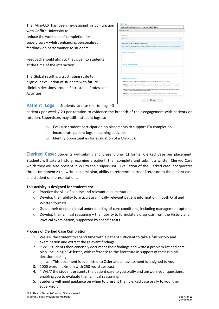The Mini-CEX has been re-designed in conjunction with Griffith University to reduce the workload of completion for supervisors – whilst enhancing personalised feedback on performance to students.

Feedback should align to that given to students at the time of the interaction.

The Global result is a trust rating scale to align our evaluation of students with future clinician decisions around Entrustable Professional Activities.

| Assessment Criteria                    |                                                                                                                                                                         |
|----------------------------------------|-------------------------------------------------------------------------------------------------------------------------------------------------------------------------|
| Location*                              |                                                                                                                                                                         |
| Select Location.                       |                                                                                                                                                                         |
| Feedback to assist student's learning: |                                                                                                                                                                         |
|                                        | Please describe the Student's Performance: what was effective and ineffective, your overall impression and any specific feedback.                                       |
| Areas of strength:*                    |                                                                                                                                                                         |
|                                        |                                                                                                                                                                         |
|                                        |                                                                                                                                                                         |
| Areas of development:*                 |                                                                                                                                                                         |
|                                        |                                                                                                                                                                         |
|                                        |                                                                                                                                                                         |
|                                        |                                                                                                                                                                         |
| Global Overall result:*                |                                                                                                                                                                         |
|                                        | O 1. Requires my assistance to complete this task safely in addition to close direct supervision                                                                        |
| task)                                  | Q 2. Requires direct supervision (I need to be present with the student to observe the interaction and review the                                                       |
|                                        | O 3. Requires proximal supervision (I need to be in an adjacent room or on the same ward as the student and be<br>able to provide immediate or detailed review of task) |
|                                        | O 4. Requires minimal supervision (I need to be in the same building as the student and easily contactable)                                                             |
|                                        |                                                                                                                                                                         |

#### Patient Logs: Students are asked to log ~3

patients per week / 20 per rotation to evidence the breadth of their engagement with patients on rotation. Supervisors may utilise student logs to:

- o Evaluate student participation on placements to support ITA completion
- o Incorporate patient logs in learning activities
- o Identify opportunities for evaluation of a Mini-CEX

**Clerked Case:** Students will submit and present one (1) formal Clerked Case per placement. Students will take a history, examine a patient, then complete and submit a written Clerked Case which they will also present in W7 to their supervisor. Evaluation of the Clerked case incorporates three components: the written submission, ability to reference current literature to the patient case and student oral presentations.

#### **This activity is designed for students to:**

- o Practice the skill of concise and relevant documentation
- o Develop their ability to articulate clinically relevant patient information in both Oral and Written formats
- $\circ$  Guide their deeper clinical understanding of core conditions, including management options
- o Develop their clinical reasoning their ability to formulate a diagnosis from the History and Physical examination, supported by specific tests

#### **Process of Clerked Case Completion:**

- 1. We ask the student to spend time with a patient sufficient to take a full history and examination and extract the relevant findings.
- 2. ~ W5: Students then concisely document their findings and write a problem list and care plan, including a GP letter, with reference to the literature in support of their clinical decision-making:
	- a. This document is submitted to Osler and an assessment is assigned to you.
- 3. 1000 word maximum with 250-word abstract
- 4.  $\sim$  W6/7 the student presents the patient case to you orally and answers your questions, enabling you to evaluate their clinical reasoning.
- 5. Students will need guidance on when to present their clerked case orally to you, their supervisor.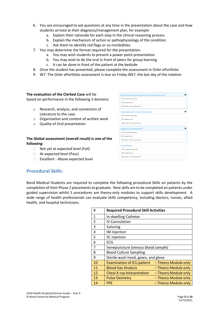- 6. You are encouraged to ask questions at any time in the presentation about the case and how students arrived at their diagnosis/management plan, for example:
	- a. Explain their rationale for each step in the clinical reasoning process
	- b. Explain the mechanism of action or pathophysiology of the condition
	- c. Ask them to identify red flags or co-morbidities
- 7. You may determine the format required for the presentation:
	- a. You may wish students to present a power point presentation
	- b. You may wish to do the oral in front of peers for group learning
	- c. It can be done in front of the patient at the bedside
- 8. Once the student has presented, please complete the assessment in Osler ePortfolio
- 9. W7: The Osler ePortfolio assessment is due on Friday Wk7, the last day of the rotation

#### **The evaluation of the Clerked Case** will be

based on performance in the following 3 domains:

- o Research, analysis, and connection of Literature to the case
- o Organisation and content of written work
- o Quality of Oral presentation

#### **The Global assessment (overall result) is one of the following:**

- $\Box$  Not yet at expected level (Fail)
- □ At expected level (Pass)
- Excellent Above expected level

#### **Procedural Skills:**

Bond Medical Students are required to complete the following procedural Skills on patients by the completion of their Phase 2 placements to graduate. Nine skills are to be completed on patients under guided supervision whilst 5 procedures are theory-only modules to support skills development. A wide range of health professionals can evaluate skills competency, including doctors, nurses, allied health, and hospital technicians.

| #              | <b>Required Procedural Skill Activities</b> |                      |
|----------------|---------------------------------------------|----------------------|
| 1              | In-dwelling Catheter                        |                      |
| $\overline{2}$ | <b>IV Cannulation</b>                       |                      |
| 3              | Suturing                                    |                      |
| 4              | IM injection                                |                      |
| 5              | SC injection                                |                      |
| 6              | <b>ECG</b>                                  |                      |
| 7              | Venepuncture (venous blood sample)          |                      |
| 8              | <b>Blood Culture Sampling</b>               |                      |
| 9              | Sterile wash hand, gown, and glove          |                      |
| 10             | <b>Examination of ICU patient</b>           | - Theory Module only |
| 11             | <b>Blood Gas Analysis</b>                   | - Theory Module only |
| 12             | <b>Chest X-ray Interpretation</b>           | - Theory Module only |
| 13             | <b>Pulse Oximetry</b>                       | - Theory Module only |
| 14             | <b>PPE</b>                                  | - Theory Module only |

| Research, analysis and connection of literature to the case* |  |
|--------------------------------------------------------------|--|
| O Not yet at expected level                                  |  |
| At expected level                                            |  |
| Excellent - Above expected level                             |  |
| Organisation and content of written work*                    |  |
| O Not yet at expected level                                  |  |
| O At expected level                                          |  |
| <b>O</b> Excellent - Above expected level                    |  |
| Quality of Oral Presentation*                                |  |
| O Not yet at expected level                                  |  |
| O At expected level                                          |  |
| D Excellent - Above expected level                           |  |
| Overall Result*                                              |  |
| O Not yet at expected Level                                  |  |
| O At expected Level                                          |  |
|                                                              |  |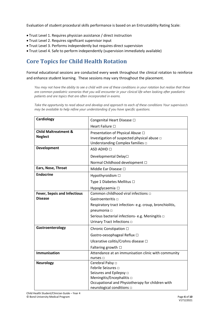Evaluation of student procedural skills performance is based on an Entrustability Rating Scale:

- Trust Level 1. Requires physician assistance / direct instruction
- Trust Level 2. Requires significant supervisor input
- Trust Level 3. Performs independently but requires direct supervision
- Trust Level 4. Safe to perform independently (supervision immediately available)

## **Core Topics for Child Health Rotation**

Formal educational sessions are conducted every week throughout the clinical rotation to reinforce and enhance student learning. These sessions may vary throughout the placement.

*You may not have the ability to see a child with one of these conditions in your rotation but realise that these are common paediatric scenarios that you will encounter in your clinical life when looking after paediatric patients and are topics that are often incorporated in exams.* 

*Take the opportunity to read about and develop and approach to each of these conditions Your supervisor/s may be available to help refine your understanding if you have specific questions.*

| Cardiology                                            | Congenital Heart Disease $\Box$                                                                                                                                                                       |
|-------------------------------------------------------|-------------------------------------------------------------------------------------------------------------------------------------------------------------------------------------------------------|
|                                                       | Heart Failure <sup>[1]</sup>                                                                                                                                                                          |
| <b>Child Maltreatment &amp;</b><br><b>Neglect</b>     | Presentation of Physical Abuse □<br>Investigation of suspected physical abuse $\Box$<br>Understanding Complex families $\Box$                                                                         |
| Development                                           | ASD ADHD □                                                                                                                                                                                            |
|                                                       | Developmental Delay□<br>Normal Childhood development □                                                                                                                                                |
| Ears, Nose, Throat                                    | Middle Ear Disease □                                                                                                                                                                                  |
| <b>Endocrine</b>                                      | Hypothyroidism □                                                                                                                                                                                      |
|                                                       | Type 1 Diabetes Mellitus □                                                                                                                                                                            |
|                                                       | Hypoglycaemia □                                                                                                                                                                                       |
| <b>Fever, Sepsis and Infectious</b><br><b>Disease</b> | Common childhood viral infections $\Box$<br>Gastroenteritis $\square$<br>Respiratory tract infection-e.g. croup, bronchiolitis,<br>pneumonia o                                                        |
|                                                       | Serious bacterial infections- e.g. Meningitis $\Box$<br>Urinary Tract Infections $\square$                                                                                                            |
| Gastroenterology                                      | Chronic Constipation □<br>Gastro-oesophageal Reflux □<br>Ulcerative colitis/Crohns disease □<br>Faltering growth $\Box$                                                                               |
| <b>Immunisation</b>                                   | Attendance at an immunisation clinic with community<br>nurses $\Box$                                                                                                                                  |
| <b>Neurology</b>                                      | Cerebral Palsy □<br>Febrile Seizures of<br>Seizures and Epilepsy $\Box$<br>Meningitis/Encephalitis $\square$<br>Occupational and Physiotherapy for children with<br>neurological conditions $\square$ |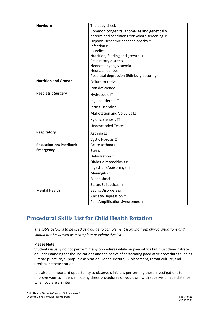| <b>Newborn</b>                  | The baby check $\Box$                       |
|---------------------------------|---------------------------------------------|
|                                 | Common congenital anomalies and genetically |
|                                 |                                             |
|                                 | Hypoxic ischaemic encephalopathy $\Box$     |
|                                 | Infection $\Box$                            |
|                                 | Jaundice D                                  |
|                                 | Nutrition, feeding and growth □             |
|                                 | Respiratory distress $\Box$                 |
|                                 | Neonatal hypoglycaemia                      |
|                                 | Neonatal apnoea                             |
| <b>Nutrition and Growth</b>     | Postnatal depression (Edinburgh scoring)    |
|                                 | Failure to thrive $\Box$                    |
|                                 | Iron deficiency $\Box$                      |
| <b>Paediatric Surgery</b>       | Hydrocoele □                                |
|                                 | Inguinal Hernia □                           |
|                                 | Intussusception $\Box$                      |
|                                 | Malrotation and Volvulus $\Box$             |
|                                 | Pyloric Stenosis □                          |
|                                 | Undescended Testes □                        |
| <b>Respiratory</b>              | Asthma □                                    |
|                                 | Cystic Fibrosis □                           |
| <b>Resuscitation/Paediatric</b> | Acute asthma $\Box$                         |
| <b>Emergency</b>                | Burns $\Box$                                |
|                                 | Dehydration $\Box$                          |
|                                 | Diabetic ketoacidosis $\Box$                |
|                                 | Ingestions/poisonings $\square$             |
|                                 | Meningitis $\square$                        |
|                                 | Septic shock $\Box$                         |
|                                 | Status Epilepticus o                        |
| <b>Mental Health</b>            | Eating Disorders $\Box$                     |
|                                 | Anxiety/Depression □                        |
|                                 | Pain Amplification Syndromes □              |

## **Procedural Skills List for Child Health Rotation**

*The table below is to be used as a guide to complement learning from clinical situations and should not be viewed as a complete or exhaustive list.*

#### **Please Note**:

Students usually do not perform many procedures while on paediatrics but must demonstrate an understanding for the indications and the basics of performing paediatric procedures such as lumbar puncture, suprapubic aspiration, venepuncture, IV placement, throat culture, and urethral catheterization.

It is also an important opportunity to observe clinicians performing these investigations to improve your confidence in doing these procedures on you own (with supervision at a distance) when you are an intern.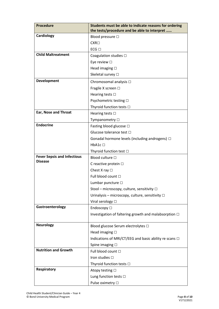| <b>Procedure</b>                                     | Students must be able to indicate reasons for ordering<br>the tests/procedure and be able to interpret |  |  |
|------------------------------------------------------|--------------------------------------------------------------------------------------------------------|--|--|
| Cardiology                                           | Blood pressure □                                                                                       |  |  |
|                                                      | $CXR\Box$                                                                                              |  |  |
|                                                      | $ECG$ $\square$                                                                                        |  |  |
| <b>Child Maltreatment</b>                            | Coagulation studies $\Box$                                                                             |  |  |
|                                                      | Eye review $\square$                                                                                   |  |  |
|                                                      | Head imaging $\square$                                                                                 |  |  |
|                                                      | Skeletal survey □                                                                                      |  |  |
| Development                                          | Chromosomal analysis □                                                                                 |  |  |
|                                                      | Fragile X screen □                                                                                     |  |  |
|                                                      | Hearing tests $\square$                                                                                |  |  |
|                                                      | Psychometric testing □                                                                                 |  |  |
|                                                      | Thyroid function tests □                                                                               |  |  |
| <b>Ear, Nose and Throat</b>                          | Hearing tests $\square$                                                                                |  |  |
|                                                      | Tympanometry □                                                                                         |  |  |
| <b>Endocrine</b>                                     | Fasting blood glucose □                                                                                |  |  |
|                                                      | Glucose tolerance test □                                                                               |  |  |
|                                                      | Gonadal hormone levels (including androgens) $\Box$                                                    |  |  |
|                                                      | HbA1c □                                                                                                |  |  |
|                                                      | Thyroid function test □                                                                                |  |  |
| <b>Fever Sepsis and Infectious</b><br><b>Disease</b> | Blood culture $\Box$                                                                                   |  |  |
|                                                      | C reactive protein □                                                                                   |  |  |
|                                                      | Chest X ray $\Box$                                                                                     |  |  |
|                                                      | Full blood count □                                                                                     |  |  |
|                                                      | Lumbar puncture □                                                                                      |  |  |
|                                                      | Stool - microscopy, culture, sensitivity □                                                             |  |  |
|                                                      | Urinalysis - microscopy, culture, sensitivity $\Box$                                                   |  |  |
|                                                      | Viral serology □                                                                                       |  |  |
| Gastroenterology                                     | Endoscopy □                                                                                            |  |  |
|                                                      | Investigation of faltering growth and malabsorption $\Box$                                             |  |  |
| <b>Neurology</b>                                     | Blood glucose Serum electrolytes □                                                                     |  |  |
|                                                      | Head imaging $\square$                                                                                 |  |  |
|                                                      | Indications of MRI/CT/EEG and basic ability re scans $\Box$                                            |  |  |
|                                                      | Spine imaging $\square$                                                                                |  |  |
| <b>Nutrition and Growth</b>                          | Full blood count □                                                                                     |  |  |
|                                                      | Iron studies $\Box$                                                                                    |  |  |
|                                                      | Thyroid function tests □                                                                               |  |  |
| <b>Respiratory</b>                                   | Atopy testing □                                                                                        |  |  |
|                                                      | Lung function tests □                                                                                  |  |  |
|                                                      | Pulse oximetry □                                                                                       |  |  |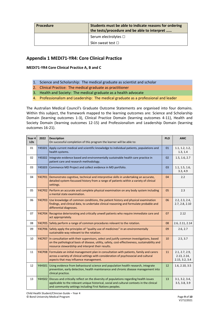| Procedure | Students must be able to indicate reasons for ordering<br>the tests/procedure and be able to interpret |  |  |
|-----------|--------------------------------------------------------------------------------------------------------|--|--|
|           | Serum electrolytes $\square$                                                                           |  |  |
|           | Skin sweat test $\square$                                                                              |  |  |

### **Appendix 1 MEDI71-YR4: Core Clinical Practice**

**MEDI71-YR4 Core Clinical Practice A, B and C**

- 1. Science and Scholarship: The medical graduate as scientist and scholar
- 2. Clinical Practice: The medical graduate as practitioner
- 3. Health and Society: The medical graduate as a health advocate
- 4. Professionalism and Leadership: The medical graduate as a professional and leader

The Australian Medical Council's Graduate Outcome Statements are organised into four domains. Within this subject, the framework mapped to the learning outcomes are: Science and Scholarship Domain (learning outcomes 1-3), Clinical Practice Domain (learning outcomes 4-11), Health and Society Domain (learning outcomes 12-15) and Professionalism and Leadership Domain (learning outcomes 16-21).

| Year 4<br>LO <sub>S</sub> | 2022          | <b>Description</b><br>On successful completion of this program the learner will be able to:                                                                                                                                                            | <b>PLO</b> | <b>AMC</b>                                      |
|---------------------------|---------------|--------------------------------------------------------------------------------------------------------------------------------------------------------------------------------------------------------------------------------------------------------|------------|-------------------------------------------------|
| 01                        | <b>Y4SS01</b> | Apply current medical and scientific knowledge to individual patients, populations and<br>health systems.                                                                                                                                              | 01         | 1.1, 1.2, 1.2,<br>1.3, 1.4                      |
| 02                        | Y4SS02        | Integrate evidence based and environmentally sustainable health care practice in<br>patient care and research methodology.                                                                                                                             | 02         | 1.5, 1.6, 2.7                                   |
| 03                        | Y4SS03        | Commence MD Project and collect evidence in MD portfolio.                                                                                                                                                                                              | 03         | 1.1, 1.5, 1.6,<br>3.3, 4.9                      |
| 04                        |               | Y4CP01 Demonstrate cognitive, technical and interpretive skills in undertaking an accurate,<br>detailed system-focussed history from a range of patients within a variety of clinical<br>settings.                                                     | 04         | 2.2                                             |
| 05                        |               | Y4CP02 Perform an accurate and complete physical examination on any body system including<br>a mental state examination.                                                                                                                               | 05         | 2.3                                             |
| 06                        |               | Y4CP03 Use knowledge of common conditions, the patient history and physical examination<br>findings, and clinical data, to undertake clinical reasoning and formulate probable and<br>differential diagnoses.                                          | 06         | 2.2, 2.3, 2.4,<br>2.7, 2.8, 2.10                |
| 07                        |               | Y4CP04 Recognise deteriorating and critically unwell patients who require immediate care and<br>act appropriately.                                                                                                                                     | 07         | 2.12                                            |
| 08                        |               | Y4CP05 Safely perform a range of common procedures relevant to the rotation.                                                                                                                                                                           | 08         | 2.6, 2.11, 2.14                                 |
| 09                        |               | Y4CP06 Safely apply the principles of "quality use of medicines" in an environmentally<br>sustainable way relevant to the rotation.                                                                                                                    | 09         | 2.6, 2.7                                        |
| 10                        |               | Y4CP07 In consultation with their supervisors, select and justify common investigations, based<br>on the pathological basis of disease, utility, safety, cost-effectiveness, sustainability and<br>resource stewardship and interpret their results.   | 10         | 2.5, 3.7                                        |
| 11                        |               | Y4CP08 Formulate an initial management plan in consultation with patients, family and carers<br>across a variety of clinical settings with consideration of psychosocial and cultural<br>aspects that may influence management.                        | 11         | 2.1, 2.7, 2.9,<br>2.13, 2.14,<br>2.15, 3.2, 3.4 |
| 12                        |               | Y4HS01 Using evidence from behavioural science and population health research, integrate<br>prevention, early detection, health maintenance and chronic disease management into<br>clinical practice.                                                  | 12         | 1.6, 2.10, 3.5                                  |
| 13                        |               | Y4HS02 Discuss and critically reflect on the diversity of populations regarding health issues<br>applicable to the relevant unique historical, social and cultural contexts in the clinical<br>and community settings including First Nations peoples. | 13         | 3.1, 3.2, 3.4,<br>3.5, 3.8, 3.9                 |